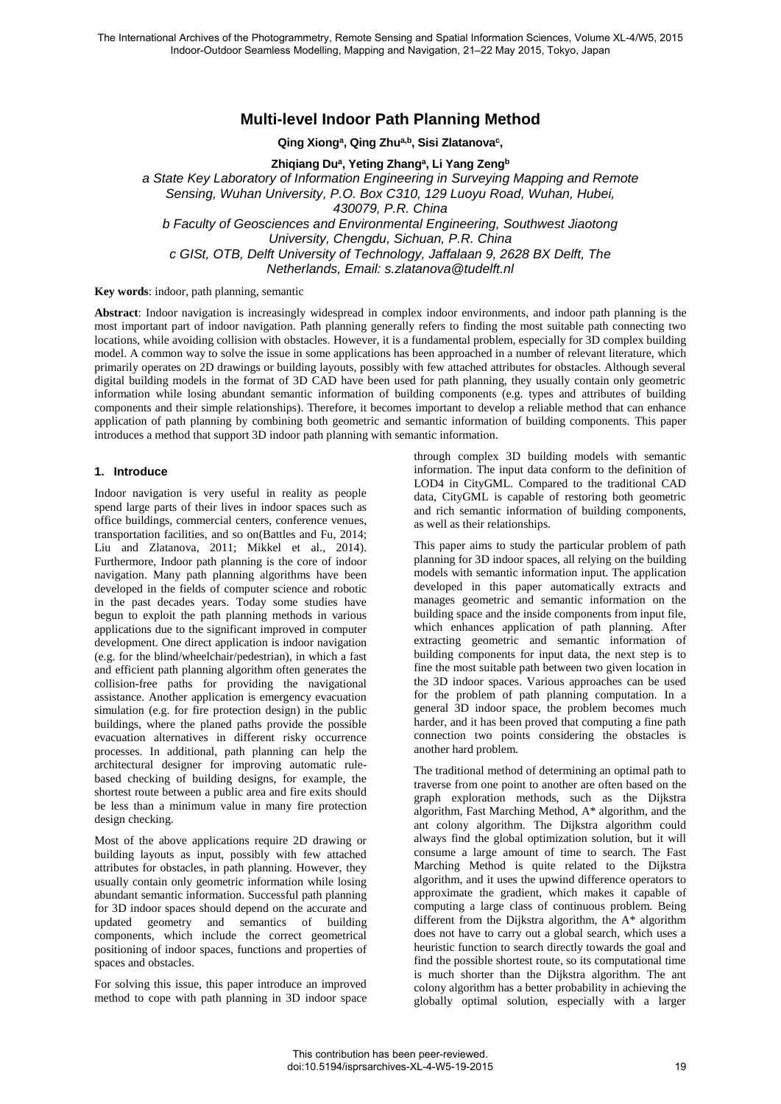# **Multi-level Indoor Path Planning Method**

**Qing Xiong<sup>a</sup> , Qing Zhua,b , Sisi Zlatanova<sup>c</sup> ,** 

**Zhiqiang Du<sup>a</sup> , Yeting Zhang<sup>a</sup> , Li Yang Zeng<sup>b</sup>**

*a State Key Laboratory of Information Engineering in Surveying Mapping and Remote* 

*Sensing, Wuhan University, P.O. Box C310, 129 Luoyu Road, Wuhan, Hubei,* 

*430079, P.R. China* 

*b Faculty of Geosciences and Environmental Engineering, Southwest Jiaotong University, Chengdu, Sichuan, P.R. China c GISt, OTB, Delft University of Technology, Jaffalaan 9, 2628 BX Delft, The Netherlands, Email: s.zlatanova@tudelft.nl* 

**Key words**: indoor, path planning, semantic

**Abstract**: Indoor navigation is increasingly widespread in complex indoor environments, and indoor path planning is the most important part of indoor navigation. Path planning generally refers to finding the most suitable path connecting two locations, while avoiding collision with obstacles. However, it is a fundamental problem, especially for 3D complex building model. A common way to solve the issue in some applications has been approached in a number of relevant literature, which primarily operates on 2D drawings or building layouts, possibly with few attached attributes for obstacles. Although several digital building models in the format of 3D CAD have been used for path planning, they usually contain only geometric information while losing abundant semantic information of building components (e.g. types and attributes of building components and their simple relationships). Therefore, it becomes important to develop a reliable method that can enhance application of path planning by combining both geometric and semantic information of building components. This paper introduces a method that support 3D indoor path planning with semantic information.

#### **1. Introduce**

Indoor navigation is very useful in reality as people spend large parts of their lives in indoor spaces such as office buildings, commercial centers, conference venues, transportation facilities, and so on(Battles and Fu, 2014; Liu and Zlatanova, 2011; Mikkel et al., 2014). Furthermore, Indoor path planning is the core of indoor navigation. Many path planning algorithms have been developed in the fields of computer science and robotic in the past decades years. Today some studies have begun to exploit the path planning methods in various applications due to the significant improved in computer development. One direct application is indoor navigation (e.g. for the blind/wheelchair/pedestrian), in which a fast and efficient path planning algorithm often generates the collision-free paths for providing the navigational assistance. Another application is emergency evacuation simulation (e.g. for fire protection design) in the public buildings, where the planed paths provide the possible evacuation alternatives in different risky occurrence processes. In additional, path planning can help the architectural designer for improving automatic rulebased checking of building designs, for example, the shortest route between a public area and fire exits should be less than a minimum value in many fire protection design checking.

Most of the above applications require 2D drawing or building layouts as input, possibly with few attached attributes for obstacles, in path planning. However, they usually contain only geometric information while losing abundant semantic information. Successful path planning for 3D indoor spaces should depend on the accurate and updated geometry and semantics of building components, which include the correct geometrical positioning of indoor spaces, functions and properties of spaces and obstacles.

For solving this issue, this paper introduce an improved method to cope with path planning in 3D indoor space

through complex 3D building models with semantic information. The input data conform to the definition of LOD4 in CityGML. Compared to the traditional CAD data, CityGML is capable of restoring both geometric and rich semantic information of building components, as well as their relationships.

This paper aims to study the particular problem of path planning for 3D indoor spaces, all relying on the building models with semantic information input. The application developed in this paper automatically extracts and manages geometric and semantic information on the building space and the inside components from input file, which enhances application of path planning. After extracting geometric and semantic information of building components for input data, the next step is to fine the most suitable path between two given location in the 3D indoor spaces. Various approaches can be used for the problem of path planning computation. In a general 3D indoor space, the problem becomes much harder, and it has been proved that computing a fine path connection two points considering the obstacles is another hard problem.

The traditional method of determining an optimal path to traverse from one point to another are often based on the graph exploration methods, such as the Dijkstra algorithm, Fast Marching Method, A\* algorithm, and the ant colony algorithm. The Dijkstra algorithm could always find the global optimization solution, but it will consume a large amount of time to search. The Fast Marching Method is quite related to the Dijkstra algorithm, and it uses the upwind difference operators to approximate the gradient, which makes it capable of computing a large class of continuous problem. Being different from the Dijkstra algorithm, the A\* algorithm does not have to carry out a global search, which uses a heuristic function to search directly towards the goal and find the possible shortest route, so its computational time is much shorter than the Dijkstra algorithm. The ant colony algorithm has a better probability in achieving the globally optimal solution, especially with a larger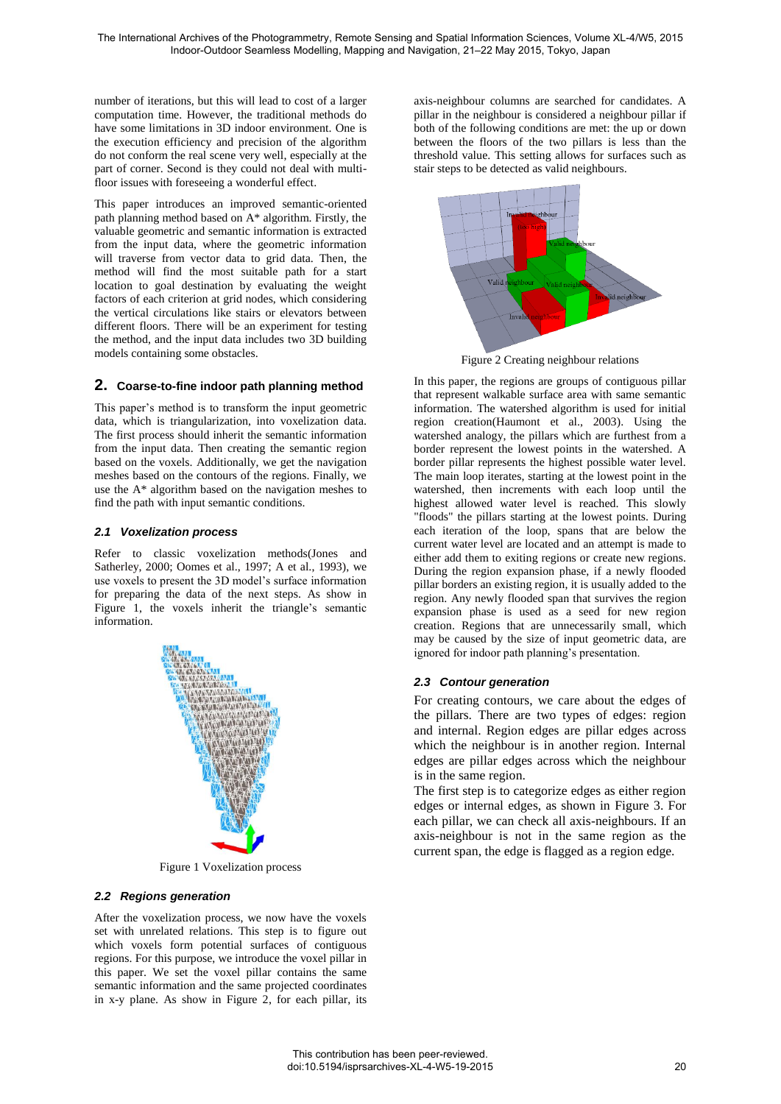number of iterations, but this will lead to cost of a larger computation time. However, the traditional methods do have some limitations in 3D indoor environment. One is the execution efficiency and precision of the algorithm do not conform the real scene very well, especially at the part of corner. Second is they could not deal with multifloor issues with foreseeing a wonderful effect.

This paper introduces an improved semantic-oriented path planning method based on A\* algorithm. Firstly, the valuable geometric and semantic information is extracted from the input data, where the geometric information will traverse from vector data to grid data. Then, the method will find the most suitable path for a start location to goal destination by evaluating the weight factors of each criterion at grid nodes, which considering the vertical circulations like stairs or elevators between different floors. There will be an experiment for testing the method, and the input data includes two 3D building models containing some obstacles.

# **2. Coarse-to-fine indoor path planning method**

This paper's method is to transform the input geometric data, which is triangularization, into voxelization data. The first process should inherit the semantic information from the input data. Then creating the semantic region based on the voxels. Additionally, we get the navigation meshes based on the contours of the regions. Finally, we use the A\* algorithm based on the navigation meshes to find the path with input semantic conditions.

#### *2.1 Voxelization process*

Refer to classic voxelization methods(Jones and Satherley, 2000; Oomes et al., 1997; A et al., 1993), we use voxels to present the 3D model's surface information for preparing the data of the next steps. As show in [Figure 1,](#page-1-0) the voxels inherit the triangle's semantic information.



Figure 1 Voxelization process

#### <span id="page-1-0"></span>*2.2 Regions generation*

After the voxelization process, we now have the voxels set with unrelated relations. This step is to figure out which voxels form potential surfaces of contiguous regions. For this purpose, we introduce the voxel pillar in this paper. We set the voxel pillar contains the same semantic information and the same projected coordinates in x-y plane. As show in Figure 2, for each pillar, its axis-neighbour columns are searched for candidates. A pillar in the neighbour is considered a neighbour pillar if both of the following conditions are met: the up or down between the floors of the two pillars is less than the threshold value. This setting allows for surfaces such as stair steps to be detected as valid neighbours.



Figure 2 Creating neighbour relations

In this paper, the regions are groups of contiguous pillar that represent walkable surface area with same semantic information. The watershed algorithm is used for initial region creation(Haumont et al., 2003). Using the watershed analogy, the pillars which are furthest from a border represent the lowest points in the watershed. A border pillar represents the highest possible water level. The main loop iterates, starting at the lowest point in the watershed, then increments with each loop until the highest allowed water level is reached. This slowly "floods" the pillars starting at the lowest points. During each iteration of the loop, spans that are below the current water level are located and an attempt is made to either add them to exiting regions or create new regions. During the region expansion phase, if a newly flooded pillar borders an existing region, it is usually added to the region. Any newly flooded span that survives the region expansion phase is used as a seed for new region creation. Regions that are unnecessarily small, which may be caused by the size of input geometric data, are ignored for indoor path planning's presentation.

# *2.3 Contour generation*

For creating contours, we care about the edges of the pillars. There are two types of edges: region and internal. Region edges are pillar edges across which the neighbour is in another region. Internal edges are pillar edges across which the neighbour is in the same region.

The first step is to categorize edges as either region edges or internal edges, as shown in [Figure 3.](#page-2-0) For each pillar, we can check all axis-neighbours. If an axis-neighbour is not in the same region as the current span, the edge is flagged as a region edge.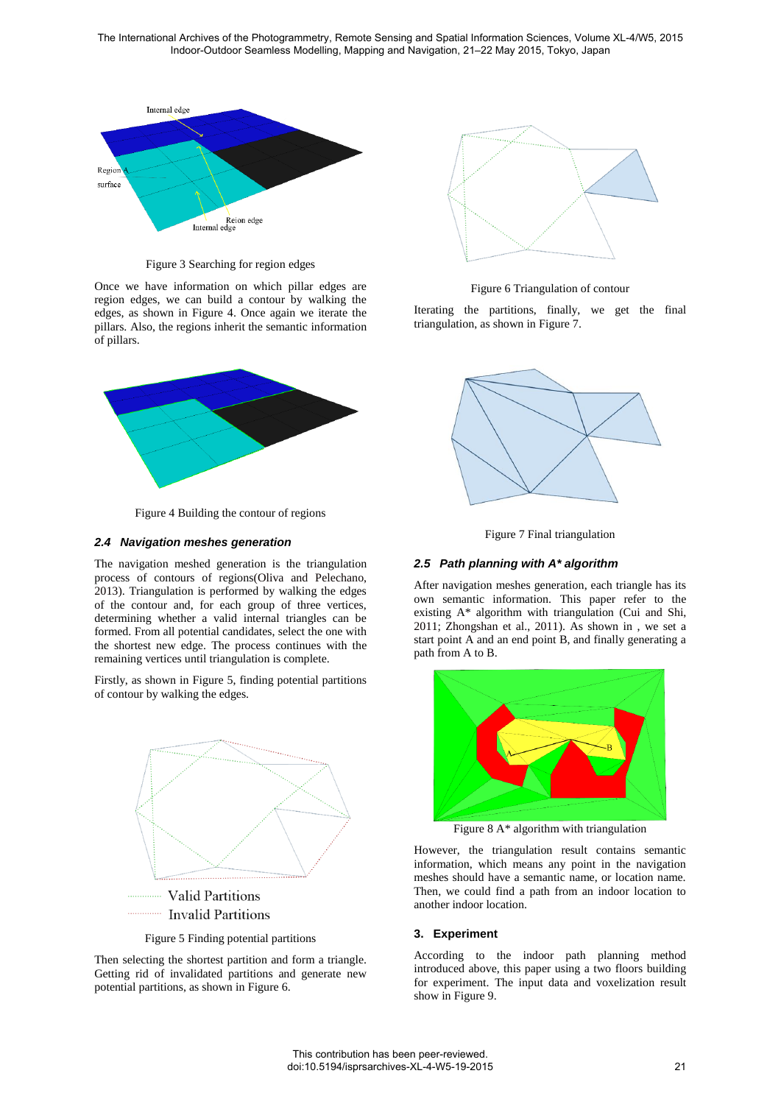

Figure 3 Searching for region edges

<span id="page-2-0"></span>Once we have information on which pillar edges are region edges, we can build a contour by walking the edges, as shown in [Figure 4.](#page-2-1) Once again we iterate the pillars. Also, the regions inherit the semantic information of pillars.



Figure 4 Building the contour of regions

# <span id="page-2-1"></span>*2.4 Navigation meshes generation*

The navigation meshed generation is the triangulation process of contours of regions(Oliva and Pelechano, 2013). Triangulation is performed by walking the edges of the contour and, for each group of three vertices, determining whether a valid internal triangles can be formed. From all potential candidates, select the one with the shortest new edge. The process continues with the remaining vertices until triangulation is complete.

Firstly, as shown in [Figure 5,](#page-2-2) finding potential partitions of contour by walking the edges.



Valid Partitions **Invalid Partitions** 

Figure 5 Finding potential partitions

<span id="page-2-2"></span>Then selecting the shortest partition and form a triangle. Getting rid of invalidated partitions and generate new potential partitions, as shown in [Figure 6.](#page-2-3)



Figure 6 Triangulation of contour

<span id="page-2-3"></span>Iterating the partitions, finally, we get the final triangulation, as shown in [Figure 7.](#page-2-4)





# <span id="page-2-4"></span>*2.5 Path planning with A\* algorithm*

After navigation meshes generation, each triangle has its own semantic information. This paper refer to the existing A\* algorithm with triangulation (Cui and Shi, 2011; Zhongshan et al., 2011). As shown in , we set a start point A and an end point B, and finally generating a path from A to B.



Figure 8 A\* algorithm with triangulation

However, the triangulation result contains semantic information, which means any point in the navigation meshes should have a semantic name, or location name. Then, we could find a path from an indoor location to another indoor location.

# **3. Experiment**

According to the indoor path planning method introduced above, this paper using a two floors building for experiment. The input data and voxelization result show in [Figure 9.](#page-3-0)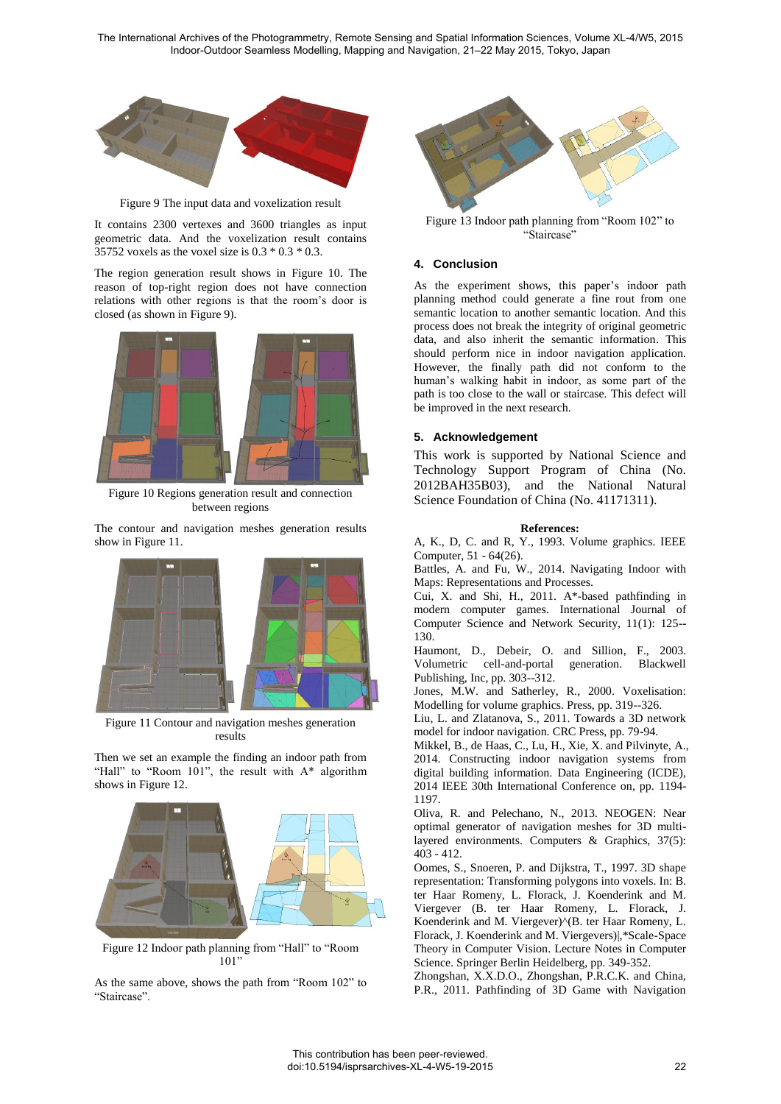

Figure 9 The input data and voxelization result

<span id="page-3-0"></span>It contains 2300 vertexes and 3600 triangles as input geometric data. And the voxelization result contains 35752 voxels as the voxel size is 0.3 \* 0.3 \* 0.3.

The region generation result shows in [Figure 10.](#page-3-1) The reason of top-right region does not have connection relations with other regions is that the room's door is closed (as shown in [Figure 9\)](#page-3-0).



Figure 10 Regions generation result and connection between regions

<span id="page-3-1"></span>The contour and navigation meshes generation results show i[n Figure 11.](#page-3-2) 



Figure 11 Contour and navigation meshes generation results

<span id="page-3-2"></span>Then we set an example the finding an indoor path from "Hall" to "Room 101", the result with A\* algorithm shows in [Figure 12.](#page-3-3)



Figure 12 Indoor path planning from "Hall" to "Room  $101"$ 

<span id="page-3-3"></span>As the same above, shows the path from "Room 102" to "Staircase".



Figure 13 Indoor path planning from "Room 102" to "Staircase"

### **4. Conclusion**

As the experiment shows, this paper's indoor path planning method could generate a fine rout from one semantic location to another semantic location. And this process does not break the integrity of original geometric data, and also inherit the semantic information. This should perform nice in indoor navigation application. However, the finally path did not conform to the human's walking habit in indoor, as some part of the path is too close to the wall or staircase. This defect will be improved in the next research.

#### **5. Acknowledgement**

This work is supported by National Science and Technology Support Program of China (No. 2012BAH35B03), and the National Natural Science Foundation of China (No. 41171311).

#### **References:**

A, K., D, C. and R, Y., 1993. Volume graphics. IEEE Computer, 51 - 64(26).

Battles, A. and Fu, W., 2014. Navigating Indoor with Maps: Representations and Processes.

Cui, X. and Shi, H., 2011. A\*-based pathfinding in modern computer games. International Journal of Computer Science and Network Security, 11(1): 125-- 130.

Haumont, D., Debeir, O. and Sillion, F., 2003. Volumetric cell-and-portal generation. Blackwell Publishing, Inc, pp. 303--312.

Jones, M.W. and Satherley, R., 2000. Voxelisation: Modelling for volume graphics. Press, pp. 319--326.

Liu, L. and Zlatanova, S., 2011. Towards a 3D network model for indoor navigation. CRC Press, pp. 79-94.

Mikkel, B., de Haas, C., Lu, H., Xie, X. and Pilvinyte, A., 2014. Constructing indoor navigation systems from digital building information. Data Engineering (ICDE), 2014 IEEE 30th International Conference on, pp. 1194- 1197.

Oliva, R. and Pelechano, N., 2013. NEOGEN: Near optimal generator of navigation meshes for 3D multilayered environments. Computers & Graphics, 37(5): 403 - 412.

Oomes, S., Snoeren, P. and Dijkstra, T., 1997. 3D shape representation: Transforming polygons into voxels. In: B. ter Haar Romeny, L. Florack, J. Koenderink and M. Viergever (B. ter Haar Romeny, L. Florack, J. Koenderink and M. Viergever)^(B. ter Haar Romeny, L. Florack, J. Koenderink and M. Viergevers)|,\*Scale-Space Theory in Computer Vision. Lecture Notes in Computer Science. Springer Berlin Heidelberg, pp. 349-352.

Zhongshan, X.X.D.O., Zhongshan, P.R.C.K. and China, P.R., 2011. Pathfinding of 3D Game with Navigation